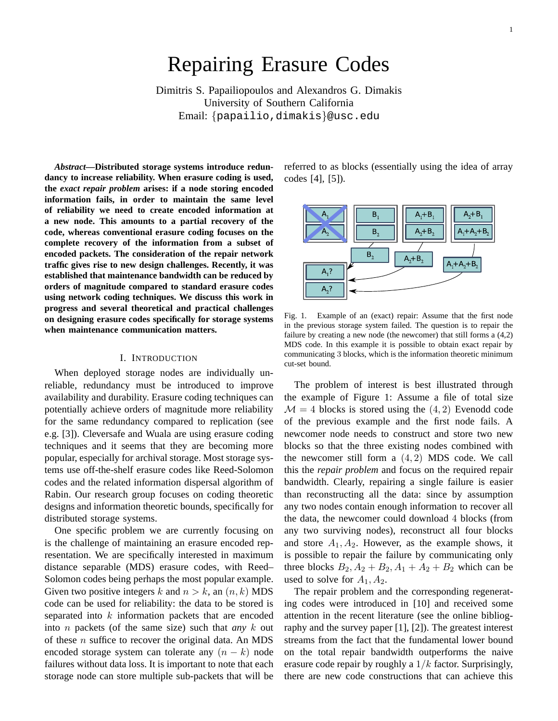## Repairing Erasure Codes

Dimitris S. Papailiopoulos and Alexandros G. Dimakis University of Southern California Email: {papailio,dimakis}@usc.edu

*Abstract***—Distributed storage systems introduce redundancy to increase reliability. When erasure coding is used, the** *exact repair problem* **arises: if a node storing encoded information fails, in order to maintain the same level of reliability we need to create encoded information at a new node. This amounts to a partial recovery of the code, whereas conventional erasure coding focuses on the complete recovery of the information from a subset of encoded packets. The consideration of the repair network traffic gives rise to new design challenges. Recently, it was established that maintenance bandwidth can be reduced by orders of magnitude compared to standard erasure codes using network coding techniques. We discuss this work in progress and several theoretical and practical challenges on designing erasure codes specifically for storage systems when maintenance communication matters.**

## I. INTRODUCTION

When deployed storage nodes are individually unreliable, redundancy must be introduced to improve availability and durability. Erasure coding techniques can potentially achieve orders of magnitude more reliability for the same redundancy compared to replication (see e.g. [3]). Cleversafe and Wuala are using erasure coding techniques and it seems that they are becoming more popular, especially for archival storage. Most storage systems use off-the-shelf erasure codes like Reed-Solomon codes and the related information dispersal algorithm of Rabin. Our research group focuses on coding theoretic designs and information theoretic bounds, specifically for distributed storage systems.

One specific problem we are currently focusing on is the challenge of maintaining an erasure encoded representation. We are specifically interested in maximum distance separable (MDS) erasure codes, with Reed– Solomon codes being perhaps the most popular example. Given two positive integers k and  $n > k$ , an  $(n, k)$  MDS code can be used for reliability: the data to be stored is separated into  $k$  information packets that are encoded into n packets (of the same size) such that *any* k out of these  $n$  suffice to recover the original data. An MDS encoded storage system can tolerate any  $(n - k)$  node failures without data loss. It is important to note that each storage node can store multiple sub-packets that will be referred to as blocks (essentially using the idea of array codes [4], [5]).



Fig. 1. Example of an (exact) repair: Assume that the first node in the previous storage system failed. The question is to repair the failure by creating a new node (the newcomer) that still forms a (4,2) MDS code. In this example it is possible to obtain exact repair by communicating 3 blocks, which is the information theoretic minimum cut-set bound.

The problem of interest is best illustrated through the example of Figure 1: Assume a file of total size  $M = 4$  blocks is stored using the  $(4, 2)$  Evenodd code of the previous example and the first node fails. A newcomer node needs to construct and store two new blocks so that the three existing nodes combined with the newcomer still form a  $(4, 2)$  MDS code. We call this the *repair problem* and focus on the required repair bandwidth. Clearly, repairing a single failure is easier than reconstructing all the data: since by assumption any two nodes contain enough information to recover all the data, the newcomer could download 4 blocks (from any two surviving nodes), reconstruct all four blocks and store  $A_1, A_2$ . However, as the example shows, it is possible to repair the failure by communicating only three blocks  $B_2$ ,  $A_2 + B_2$ ,  $A_1 + A_2 + B_2$  which can be used to solve for  $A_1, A_2$ .

The repair problem and the corresponding regenerating codes were introduced in [10] and received some attention in the recent literature (see the online bibliography and the survey paper [1], [2]). The greatest interest streams from the fact that the fundamental lower bound on the total repair bandwidth outperforms the naive erasure code repair by roughly a  $1/k$  factor. Surprisingly, there are new code constructions that can achieve this